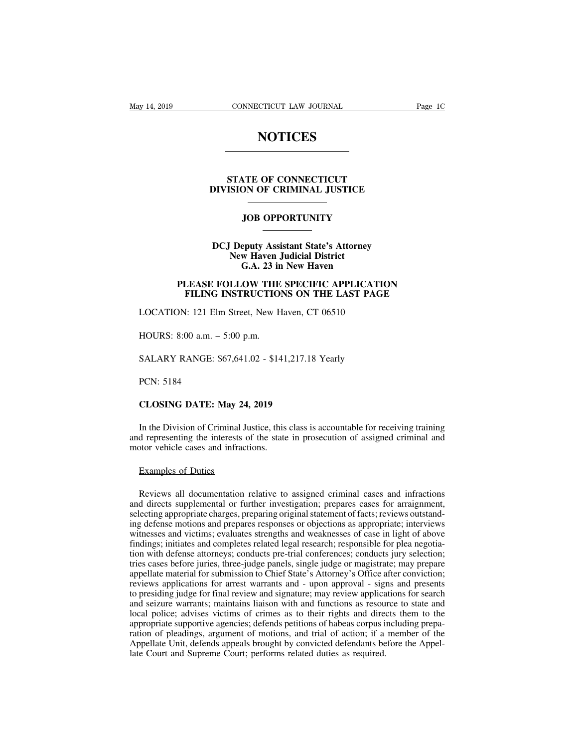### **NOTICES**

## **STATE OF CONNECTICUT<br>STATE OF CONNECTICUT<br>ISION OF CRIMINAL JUSTICE DIVISION OF CONNECTICUT<br>DIVISION OF CRIMINAL JUSTICE JOB OPPORTUNITY**

### STATE OF CONNECTICUT<br>DIVISION OF CRIMINAL JUSTICE<br>JOB OPPORTUNITY<br>DCJ Deputy Assistant State's Attorney<br>New Haven Judicial District<br>G.A. 23 in New Haven **NEW OF CRIMINAL JUSTICE**<br> **NEW OPPORTUNITY**<br> **New Haven Judicial District<br>
G.A. 23 in New Haven JOB OPPORTUNITY**<br>
eputy Assistant State's Attorney<br>
w Haven Judicial District<br>
G.A. 23 in New Haven<br>
COW THE SPECIFIC APPLICAT **PLEASE FOLLOW THE SPECIFIC APPLICATION<br>
PLEASE FOLLOW THE SPECIFIC APPLICATION<br>
FILING INSTRUCTIONS ON THE LAST PAGE FILING INSTRUCTIONS ON THE LAST PAGE OF STATE ISSUES ON THE SPECIFIC APPLICATION**<br>**FILING INSTRUCTIONS ON THE LAST PAGE**<br>
FILING INSTRUCTIONS ON THE LAST PAGE<br>
FILING INSTRUCTIONS ON THE LAST PAGE<br>
FILING INSTRUCTIONS ON DCJ Deputy Assistant State's Attorney<br>New Haven Judicial District<br>G.A. 23 in New Haven<br>PLEASE FOLLOW THE SPECIFIC APPLICATION<br>FILING INSTRUCTIONS ON THE LAST PAGE<br>LOCATION: 121 Elm Street, New Haven, CT 06510<br>HOURS: 8:00 a

# G.A. 25 h<br>
PLEASE FOLLOW THE<br>
FILING INSTRUCTIO<br>
LOCATION: 121 Elm Street, New F<br>
HOURS: 8:00 a.m. – 5:00 p.m.<br>
SALARY RANGE: \$67.641.02 - \$14 FILING INSTRUCTIONS ON THE LAST PAGE<br>LOCATION: 121 Elm Street, New Haven, CT 06510<br>HOURS: 8:00 a.m. – 5:00 p.m.<br>SALARY RANGE: \$67,641.02 - \$141,217.18 Yearly<br>PCN: 5184

EOCATION: 121 Em<br>HOURS: 8:00 a.m. – .<br>SALARY RANGE: \$6<br>PCN: 5184<br>CLOSING DATE: M

**COOKS: 8:00 a.m. – 5:00 p.m.**<br> **CALARY RANGE: \$67,641.02 - \$141,217.18**<br> **PCN: 5184**<br> **CLOSING DATE: May 24, 2019**<br>
In the Division of Criminal Justice, this class is

PCN: 5184<br>
CLOSING DATE: May 24, 2019<br>
In the Division of Criminal Justice, this class is accountable for receiving training<br>
d representing the interests of the state in prosecution of assigned criminal and<br>
otor vehicle PCN: 5184<br>CLOSING DATE: May 24, 2019<br>In the Division of Criminal Justice, this class is accountable for receiving training<br>and representing the interests of the state in prosecution of assigned criminal and<br>motor vehicle c PCN: 5184<br>CLOSING DATE: May 24, 2019<br>In the Division of Criminal Justice, this<br>and representing the interests of the state<br>motor vehicle cases and infractions.<br>Examples of Duties CLOSING DATE: May 24<br>In the Division of Criminal J<br>d representing the interests of<br>tor vehicle cases and infract<br>Examples of Duties<br>Reviews all documentation

In the Division of Criminal Justice, this class is accountable for receiving training<br>d representing the interests of the state in prosecution of assigned criminal and<br>otor vehicle cases and infractions.<br>Examples of Duties and representing the interests of the state in prosecution of assigned criminal and<br>motor vehicle cases and infractions.<br>Examples of Duties<br>Reviews all documentation relative to assigned criminal cases and infractions<br>and motor vehicle cases and infractions.<br>Examples of Duties<br>Reviews all documentation relative to assigned criminal cases and infractions<br>and directs supplemental or further investigation; prepares cases for arraignment,<br>selec Examples of Duties<br>Reviews all documentation relative to assigned criminal cases and infractions<br>and directs supplemental or further investigation; prepares cases for arraignment,<br>selecting appropriate charges, preparing o Examples of Duties<br>Reviews all documentation relative to assigned criminal cases and infractions<br>and directs supplemental or further investigation; prepares cases for arraignment,<br>selecting appropriate charges, preparing o Reviews all documentation relative to assigned criminal cases and infractions<br>and directs supplemental or further investigation; prepares cases for arraignment,<br>selecting appropriate charges, preparing original statement o Reviews all documentation relative to assigned criminal cases and infractions<br>and directs supplemental or further investigation; prepares cases for arraignment,<br>selecting appropriate charges, preparing original statement o Reviews an documentation relative to assignce erminar cases and imactions<br>and directs supplemental or further investigation; prepares cases for arraignment,<br>selecting appropriate charges, preparing original statement of fa and different subplemental of future investigation, prepares cases for an<br>algenting, selecting appropriate charges, preparing original statement of facts; reviews outstand-<br>ing defense motions and prepares responses or obj sciecing appropriate charges, preparing original statement or racts, reviews ottstanting defense motions and prepares responses or objections as appropriate; interviews witnesses and victims; evaluates strengths and weakne Ing decense includes and prepates responses or objections as appropriate, interviews<br>witnesses and victims; evaluates strengths and weaknesses of case in light of above<br>findings; initiates and completes related legal resea whitesses and victims, evantates strengths and weaknesses of case in right of above<br>findings; initiates and completes related legal research; responsible for plea negotia-<br>tion with defense attorneys; conducts pre-trial co local police; advises victims of crimes, and trial conferences; conducts jury selection; tries cases before juries, three-judge panels, single judge or magistrate; may prepare appellate material for submission to Chief Sta about what detends altomeys, conducts pre-trial conferences, conducts jury selection;<br>tries cases before juries, three-judge panels, single judge or magistrate; may prepare<br>appellate material for submission to Chief State' ration of pleadings, and trial of motions, and trial of actions are appellate material for submission to Chief State's Attorney's Office after conviction; reviews applications for arrest warrants and - upon approval - sign appendic material for submission to efficient and a synthery some date conviction, reviews applications for arrest warrants and - upon approval - signs and presents to presiding judge for final review and signature; may re Leviews applications for artest warrants and "apon applications" is the presiding judge for final review and signature; may review applica and seizure warrants; maintains liaison with and functions as resourcies about loca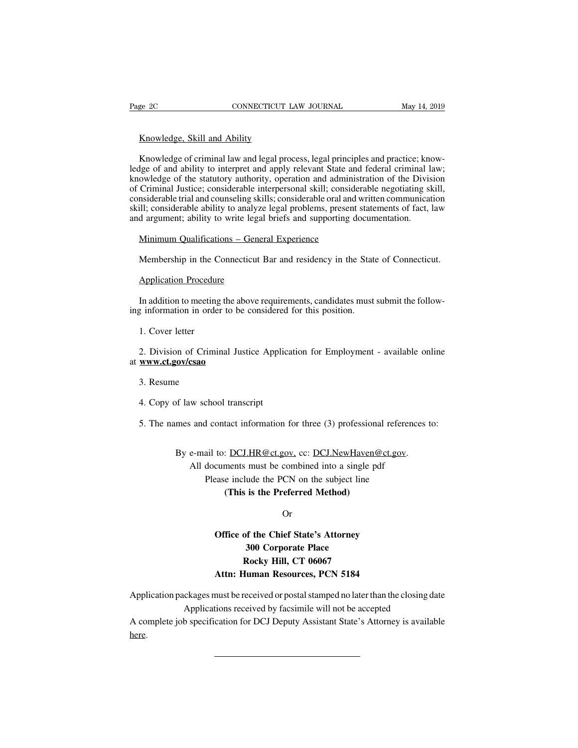Example 20<br>
Knowledge, Skill and Ability<br>
Knowledge of criminal law and legal proc EXECTE CONNECTICUT LAW JOURNAL May 14, 2019<br>
Knowledge, Skill and Ability<br>
Knowledge of criminal law and legal process, legal principles and practice; know-<br>
Ige of and ability to interpret and apply relevant State and fed Example 20 CONNECTICUT LAW JOURNAL May 14, 2019<br>
May 14, 2019<br>
Knowledge, Skill and Ability<br>
Knowledge of criminal law and legal process, legal principles and practice; know-<br>
ledge of and ability to interpret and apply re Knowledge, Skill and Ability<br>Knowledge of criminal law and legal process, legal principles and practice; know-<br>ledge of and ability to interpret and apply relevant State and federal criminal law;<br>knowledge of the statutory Knowledge, Skill and Ability<br>Knowledge of criminal law and legal process, legal principles and practice; know-<br>ledge of and ability to interpret and apply relevant State and federal criminal law;<br>knowledge of the statutory Knowledge, Skill and Ability<br>Knowledge of criminal law and legal process, legal principles and practice; know-<br>ledge of and ability to interpret and apply relevant State and federal criminal law;<br>knowledge of the statutory Knowledge of criminal law and legal process, legal principles and practice; knowledge of and ability to interpret and apply relevant State and federal criminal law; knowledge of the statutory authority, operation and admin Knowledge of criminal law and legal process, legal principles and practice; kness ledge of and ability to interpret and apply relevant State and federal criminal liknowledge of the statutory authority, operation and admini ge of and abiny to interpret and apply relevant state and owledge of the statutory authority, operation and adminic Criminal Justice; considerable interpersonal skill; considerable trial and counseling skills; considerable Similar and counseling skills; considerable oral and written communication<br>ill; considerable trial and counseling skills; considerable oral and written communication<br>ill; considerable ability to analyze legal problems, pre d argument; ability to write lega<br>Minimum Qualifications – Gene<br>Membership in the Connecticut<br>Application Procedure<br>In addition to meeting the above

Minimum Qualifications – General Experience<br>
Membership in the Connecticut Bar and residency in the State of Connecticut.<br>
Application Procedure<br>
In addition to meeting the above requirements, candidates must submit the fo Membership in the Connecticut Bar and residency in the State<br>
Application Procedure<br>
In addition to meeting the above requirements, candidates must<br>
ing information in order to be considered for this position.<br>
1. Cover le Application Procedure<br>
In addition to meeting<br>
1. Cover letter<br>
2. Division of Crimin

2. In addition to meeting the above requirements, candidates must submit the following information in order to be considered for this position.<br>
1. Cover letter<br>
2. Division of Criminal Justice Application for Employment at **www.ct.gov/csao** 1. Cover letter<br>2. Division of Crimi<br>**www.ct.gov/csao**<br>3. Resume<br>4. Copy of law scho 2. Division of Criminal Justice Applic<br> **www.ct.gov/csao**<br>
3. Resume<br>
4. Copy of law school transcript<br>
5. The names and contact information S. Resume<br>3. Resume<br>4. Copy of law school transcript<br>5. The names and contact information for three (3) professional references to:

of law school transcript<br>mes and contact information for three (3) professional references to<br>By e-mail to: <u>DCJ.HR@ct.gov,</u> cc: <u>DCJ.NewHaven@ct.gov</u>.<br>All documents must be combined into a single pdf<br>Dlage include the DCN All documents must be combined Motherst<br>
All documents must be combined into a single pdf<br>
Please include the PCN on the subject line<br>
(This is the Prefermed Method) d contact information for three (3) professional refere<br>ail to: <u>DCJ.HR@ct.gov</u>, cc: <u>DCJ.NewHaven@ct.gov</u><br>documents must be combined into a single pdf<br>Please include the PCN on the subject line<br>(**This is the Preferred Met** 

Example 18 Information for times (3) profession:<br>
1 <u>DCJ.HR@ct.gov</u>, cc: <u>DCJ.NewHaven@</u><br>
ments must be combined into a single pe<br>
include the PCN on the subject line<br> **(This is the Preferred Method)**<br>
Or

Or

## cuments must be combined into a single pdf<br>
ease include the PCN on the subject line<br>
(This is the Preferred Method)<br>
Or<br>
Office of the Chief State's Attorney<br>
300 Corporate Place Example of the Preferred Method)<br> **300 Corporate Place**<br> **300 Corporate Place**<br> **300 Corporate Place**<br> **Rocky Hill, CT 06067 Rocky Hill, CT 06067**<br>**Rocky Hill, CT 06067**<br>**Rocky Hill, CT 06067**<br>**Rocky Hill, CT 06067** Or<br> **Atta:** Or Office of the Chief State's Attorney<br>
300 Corporate Place<br>
Rocky Hill, CT 06067<br>
Attn: Human Resources, PCN 5184<br>
must be received or postal stamped no later than the d

Office of the Chief State's Attorney<br>
300 Corporate Place<br>
Rocky Hill, CT 06067<br>
Attn: Human Resources, PCN 5184<br>
Application packages must be received or postal stamped no later than the closing date<br>
Applications receive 300 Corporate Place<br>
Rocky Hill, CT 06067<br>
Attn: Human Resources, PCN 5184<br>
ckages must be received or postal stamped no later than the closing d<br>
Applications received by facsimile will not be accepted<br>
b specification fo Rocky Hill, CT 06067<br>Attn: Human Resources, PCN 5184<br>Application packages must be received or postal stamped no later than the closing date<br>A complete job specification for DCJ Deputy Assistant State's Attorney is availabl

here.